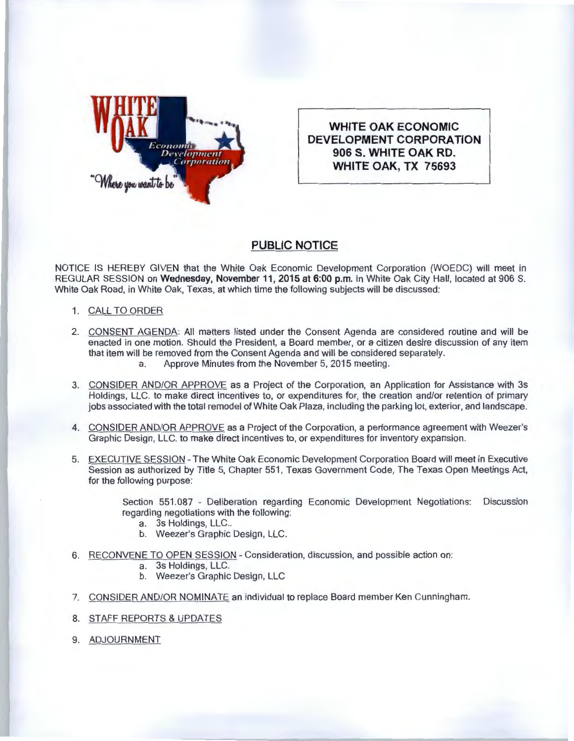

**WHITE OAK ECONOMIC DEVELOPMENT CORPORATION 906 S. WHITE OAK RD. WHITE OAK, TX 75693** 

## **PUBLIC NOTICE**

NOTICE IS HEREBY GIVEN that the White Oak Economic Development Corporation (WOEDC) will meet in REGULAR SESSION on **Wednesday, November 11, 2015 at 6:00 p.m.** in White Oak City Hall , located at 906 S. White Oak Road, in White Oak, Texas, at which time the following subjects will be discussed:

- 1. CALL TO ORDER
- 2. CONSENT AGENDA: All matters listed under the Consent Agenda are considered routine and will be enacted in one motion. Should the President, a Board member, or a citizen desire discussion of any item that item will be removed from the Consent Agenda and will be considered separately. a. Approve Minutes from the November 5, 2015 meeting.
- 3. CONSIDER AND/OR APPROVE as a Project of the Corporation , an Application for Assistance with 3s Holdings, LLC. to make direct incentives to, or expenditures for, the creation and/or retention of primary jobs associated with the total remodel of White Oak Plaza, including the parking lot, exterior, and landscape.
- 4. CONSIDER AND/OR APPROVE as a Project of the Corporation, a performance agreement with Weezer's Graphic Design, LLC. to make direct incentives to, or expenditures for inventory expansion.
- 5. EXECUTIVE SESSION The White Oak Economic Development Corporation Board will meet in Executive Session as authorized by Title 5, Chapter 551 , Texas Government Code, The Texas Open Meetings Act, for the following purpose:

Section 551.087 - Deliberation regarding Economic Development Negotiations: Discussion regarding negotiations with the following:

- a. 3s Holdings, LLC..
- b. Weezer's Graphic Design, LLC.
- 6. RECONVENE TO OPEN SESSION Consideration, discussion, and possible action on:
	- a. 3s Holdings, LLC.
	- b. Weezer's Graphic Design, LLC
- 7. CONSIDER AND/OR NOMINATE an individual to replace Board member Ken Cunningham.
- 8. STAFF REPORTS & UPDATES
- 9. ADJOURNMENT